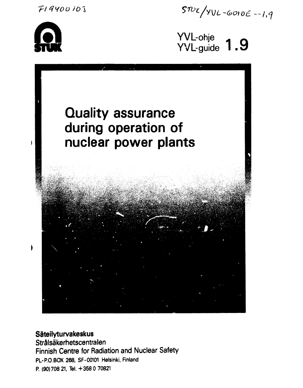*Tl 4yo o* **/ö i** 





YVL-ohje $\overline{a}$ YVL-guide **I. Y** 



**Säteilyturvakeskus** 

**Strälsäkerhetscentralen Finnish Centre for Radiation and Nuclear Safety PL-P.O.BOX 268, SF-00101 Helsinki, Finland P. (90)708 21, Tel. +3580 70821**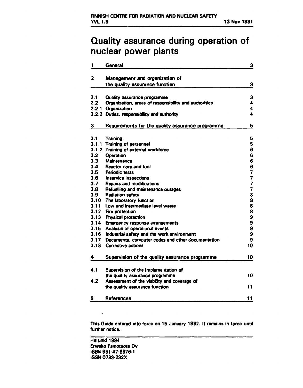# **Quality assurance during operation of nuclear power plants**

| 1                | General                                               | 3                       |
|------------------|-------------------------------------------------------|-------------------------|
| 2                | Management and organization of                        |                         |
|                  | the quality assurance function                        | 3                       |
|                  |                                                       |                         |
| 2.1              | <b>Quality assurance programme</b>                    | 3                       |
| 2.2              | Organization, areas of responsibility and authorities | 4                       |
|                  | 2.2.1 Organization                                    | 4                       |
|                  | 2.2.2 Duties, responsibility and authority            | 4                       |
| 3                | Requirements for the quality assurance programme      | 5                       |
| 3.1              | <b>Training</b>                                       | 5                       |
|                  | 3.1.1 Training of personnel                           | 5                       |
|                  | 3.1.2 Training of external workforce                  | 6                       |
| 3.2              | Operation                                             | 6                       |
| 3.3              | <b>Maintenance</b>                                    | 6                       |
| 3.4              | <b>Reactor core and fuel</b>                          | 6                       |
| 3.5 <sub>1</sub> | <b>Periodic tests</b>                                 | 7                       |
| 3.6              | Inservice inspections                                 | 7                       |
| 3.7              | <b>Repairs and modifications</b>                      | $\overline{\mathbf{z}}$ |
| 3.8              | Refuelling and maintenance outages                    | 7                       |
| 3.9 <sub>2</sub> | <b>Radiation safety</b>                               | 8                       |
| 3.10             | The laboratory function                               | 8                       |
| 3.11             | Low and intermediate level waste                      | 8                       |
| 3.12             | Fire protection                                       | 8                       |
| 3.13             | <b>Physical protection</b>                            | 9<br>9                  |
| 3.14             | Emergency response arrangements                       |                         |
| 3.15             | Analysis of operational events                        | 9                       |
| 3.16             | Industrial safety and the work environment            | 9                       |
| 3.17             | Documents, computer codes and other documentation     | 9                       |
| 3.18             | <b>Corrective actions</b>                             | 10                      |
| 4                | Supervision of the quality assurance programme        | 10                      |
| 4.1              | Supervision of the impleme itation of                 |                         |
|                  | the quality assurance programme                       | 10                      |
| 4.2              | Assessment of the viability and coverage of           |                         |
|                  | the quality assurance function                        | 11                      |
| 5                | References                                            | 11                      |
|                  |                                                       |                         |

**This Guide entered into force on 15 January 1992. It remains in force until further notice.** 

**Helsinki 1994 Erweko Painotuote Oy ISBN 951-47-8876-1 ISSN 0783-232X**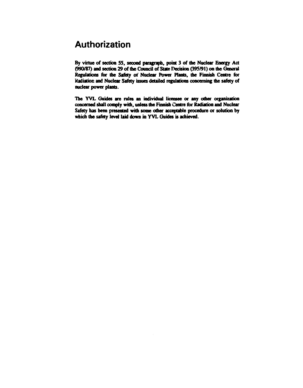# **Authorization**

**By virtue of section 55, second paragraph, point 3 of the Nuclear Energy Act (990/87) and section 29 of the Council of State Decision (395/91) on die General Regulations for the Safety of Nuclear Power Plants, the Finnish Centre for Kadiatioc and Nuclear Safety issues detailed regulations concerning the safety of nuclear power plants.** 

**The YVL Guides are rules an individual licensee or any other organization concerned shall comply with, unless die Finnish Centre for Radiation and Nuclear Safety has been presented with some other acceptable procedure or solution by which die safety level laid down in YVL Guides is achieved.**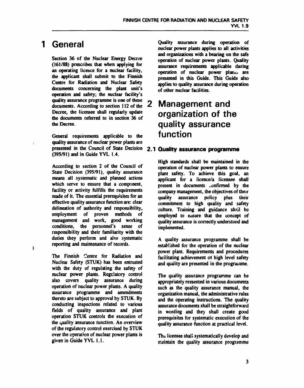#### $\mathbf 1$ **General**

Section 36 of the Nuclear Energy Decree **(161/88) prescribes that when applying for an operating licence for a nuclear facility, the applicant shall submit to die Finnish Centre for Radiation and Nuclear Safety documents concerning die plant unit's operation and safety; die nuclear facility's quality assurance programme is one of these**  documents. According to section 112 of the **Decree, die licensee shall regularly update die documents referred to in section 36 of die Decree.** 

**General requirements applicable to die quality assurance of nuclear power plants are presented in die Council of State Decision 2.1 Quality assurance programme (395/91) and in Guide YVL 1.4.** 

**According to section 2 of die Council of State Decision (395/91), quality assurance means all systematic and planned actions which serve to ensure that a component, facility or activity fulfills die requirements made of it. The essential prerequisites for an effective quality assurance function are: clear delineation of audiority and responsibility, employment of proven methods of management and work, good working conditions, die personnel's sense of responsibility and their familiarity with die duties they perform and also systematic reporting and maintenance of records.** 

**The Finnish Centre for Radiation and Nuclear Safety (STUK) has been entrusted with die duty of regulating die safety of nuclear power plants. Regulatory control also covers quality assurance during operation of nuclear power plants. A quality assurance programme and amendments thereto are subject to approval by STUK. By conducting inspections related to various fields of quality assurance and plant operation STUK controls die execution of die quality assurance function. An overview of die regulatory control exercised by STUK over die operation of nuclear power plants is given in Guide YVL 1.1.** 

**Quality assurance during operation of nuclear power plants applies to all activities and organizations widi a bearing on die safe operation of nuclear power plants. Quality assurance requirements applicable during operation of nuclear power plane» are presented in diis Guide. This Guide also applies to quality assurance during operation of odier nuclear facilities.** 

# **2 Management and organization of the quality assurance function**

**High standards shall be maintained in die operation of nuclear power plants to ensure plant safety. To achieve this goal, an applicant for a licence/a licensee shall present in documents .onfirmed by die company management, die objectives of dieir quality assurance policy plus their commitment to high quality and safety culture. Training and guidance shall be**  employed to easure that the concept of **quality assurance is correctly understood and implemented.** 

**A quality assurance programme shall be established for die operation of die nuclear power plant. Requirements and procedures facilitating achievement of high level safety and quality are presented in die programme.** 

**The quality assurance programme can be appropriately presented in various documents such as die quality assurance manual, die organization manual, die administrative rules and die operating instructions. The quality assurance documents shall be straightforward in wording and they shall create good prerequisites for systematic execution of die quality assurance function at practical level.** 

**Thv licensee shall systematically develop and maintain die quality assurance programme**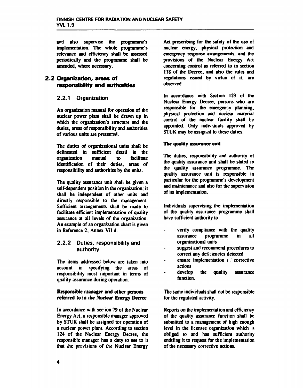**and also supervise the programme's implementation. The whole programme's relevance and efficiency shall be assessed periodically and die programme shall be amended, where necessary.** 

## **2.2 Organization, areas of responsibility and authorities**

## 2.2.1 Organization

**An organization manual for operation of die nuclear power plant shall be drawn up in which the organization's structure and the duties, areas of responsibility and authorities of various units are presented.** 

**The duties of organizational units shall be delineated in sufficient detail in the organization manual to facilitate identification of their duties, areas of responsibility and authorities by the units.** 

**The quality assurance unit shall be given a self-dependent position in the organization; it shall be independent of other units and directly responsible to the management. Sufficient arrangements shall be made to facilitate efficient implementation of quality assurance at all levels of the organization. An example of an organization chart is given in Reference 2, Annex Vil d.** 

### 2.2.2 Duties, responsibility and authority

**The items addressed below are taken into account in specifying the areas of responsibility most important in terms of quality assurance during operation.** 

### **Responsible manager and other persons referred to in the Nuclear Energy Decree**

In accordance with sec<sup>1</sup>ion 79 of the Nuclear **Energy Act, a responsible manager approved by STUK shall be assigned tor operation of a nuclear power plant. According to section 124 of the Nuclear Energy Decree, the responsible manager has a duty to see to it that the provisions of the Nuclear Energy** 

**Act prescribing for the safety of die use of nuclear energy, physical protection and emergency response arrangements, and me provisions of die Nuclear Energy Act concerning control as referred to in section 118 of die Decree, and also die rules and regulations issued by virtue of it, are observed.** 

**In accordance widi Section 129 of die Nuclear Energy Decree, persons who are responsible for die emergency planning, physical protection and nuciear material control of die nuclear facility shall be appointed. Only individuals approved by STUK may be assigned to diese duties.** 

### **The quality assurance unit**

**The duties, responsibility and authority of die quality assurance unit shall be stated in die quality assurance programme. The quality assurance unit is responsible in particular for die programme's development and maintenance and also for die supervision of its implementation.** 

**Individuals supervising the implementation of die quality assurance programme shall have sufficient audiority to** 

- **verify compliance widi die quality assurance programme in all organizational units**
- **suggest and recommend procedures to correct any deficiencies detected**
- **ensure implementation c** corrective **actions**
- **develop die quality assurance function.**

**The same individuals shall not be responsible for die regulated activity.** 

**Reports on die implementation and efficiency of die quality assurance function shall be submitted to a management of high enough level in die licensee organization which is obliged to and has sufficient audiority entitling it to request for die implementation of die necessary corrective actions.**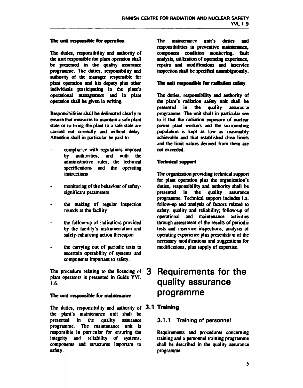#### **The unit responsible for operation**

**The duties, responsibility and authority of die unit responsible for plant operation shall be presented in the quality assurance programme. The duties, responsibility and aidhority of the manager responsible for plant operation and his deputy plus other individuals participating in the plant's operational management and in plant operation shall be given in writing.** 

**Responsibilities shall be delineated clearly to ensure that measures to maintain a safe plant state or to bring die plant to a safe state are carried out correctly and without delay. Attention shall in particular be paid to** 

- compliance with regulations imposed **by authorities, and with die administrative rules, die technical specifications and die operating instruct ions**
- **monitoring of die behaviour of safetysignificant parameters**
- **die making of regular inspection rounds at the facility**
- **die follow-up of indications provided by die facility's instrumentation and safety-enhancing action thereupon**
- **the carrying out of periodic tests to ascertain operability of systems and components important to safety.**

**The procedure relating to die licencing of plant operators is presented in Guide YVL 1.6.** 

### **The unit responsible for maintenance**

**The duties, responsibifity and authority of 3.1 Training die plant's maintenance unit shall be presented in die quality assurance programme. The maintenance unit is responsible in particular for ensuring die integrity and reliability of systems, components and structures important to safety.** 

**The maintenance unit's duties and responsibilities in preventive maintenance, component condition monitoring, fault analysis, utilization of operating experience, repairs and modifications and inservice inspection shall be specified unambiguously.** 

#### **The unit responsible for radiation safety**

**The duties, responsibility and authority of die plant's radiation safety unit shall be presented in die quality assurance programme. The unit shall in particular see to it that die radiation exposure of nuclear power plant workers and die surrounding population is kept as low as reasonably achievable and that established dise limits And die limit values derived from diem are not exceeded.** 

### **Technical support**

**The organization providing technical support for plant operation plus die organization's duties, responsibility and authority shall be presented in die quality assurance programme. Technical support includes i.a. follow-up and analysis of factors related to safety, quality and reliability; follow-up of operational and maintenance activities through assessment of the results of periodic tests and inservice inspections; analysis of operating experience plus presentation of die necessary modifications and suggestions for modifications, plus supply of expertise.** 

# **3 Requirements for the quality assurance programme**

## 3.1.1 Training of personnel

**Requirements and procedures concerning training and a personnel training programme shall be described in die quality assurance programme.**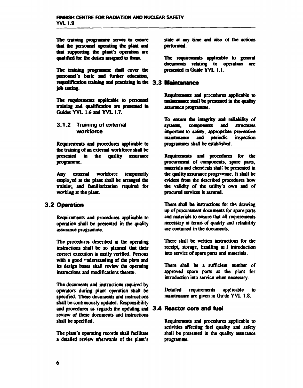The training programme serves to ensure that the personnel operating the plant and diat supporting the plant's operation are qualified for the duties assigned to diem.

The training programme shall cover die personnel's basic and further education, requalification training and practising in the 3.3 job setting.

The requirements applicable to personnel training and qualification are presented in Guides YVL 1.6 and YVL 1.7.

### **3.1.2 Training of external workforce**

Requirements and procedures applicable to die training of an external workforce shall be presented in the quality assurance programme.

Any external workforce temporarily employed at the plant shall be arranged die training and familiarization required for working at die plant.

# **3.2 Operation**

Requirements and procedures applicable to operation shall be presented in die quality assurance programme.

The procedures described in die operating instructions shall be so planned that their correct execution is easily verified. Persons with a good "nderstanding of the plant and its design bases shall review the operating instructions and modifications thereto.

The documents and instructions required by operators during plant operation shall be specified. These documents and instructions shall be continuously updated. Responsibility and procedures as regards the updating and 3.4 Reactor core and fuel review of diese documents and instructions shall be specified.

The plant's operating records shall facilitate a detailed review afterwards of die plant's state at any time and also of die actions performed.

The requirements applicable to general documents relating to operation are presented in Guide YVL 1.1.

Requirements and procedures applicable to maintenance shall be presented in die quality assurance programme.

To ensure die integrity and reliability of systems, components and structures important to safety, appropriate preventive<br>maintenance and periodic inspection maintenance and periodic inspection programmes shall be established.

Requirements and procedures for die procurement of components, spare parts, materials and chemicals shall be presented in the quality assurance programme. It shall be evident from die described procedures how the validity of the utility's own and of procured services is assured.

There shall be instructions for the drawing up of procurement documents for spare parts and materials to ensure diat all requirements necessary in terms *of* quality and reliability are contained in die documents.

There shall be written instructions for die receipt, storage, handling ai.J introduction into service of spare parts and materials.

There shall be a sufficient number of approved spare parts at die plant for introduction into service when necessary.

Detailed requirements applicable to maintenance are given in Gu'de YVL 1.8.

Requirements and procedures applicable to activities affecting fuel quality and safety shall be presented in the quality assurance programme.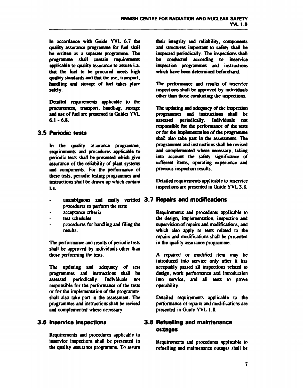**In accordance with Guide YVL 6.7 die quality assurance programme for fuel shall be written as a separate programme. The programme shall contain requirements applicable to quality assurance to assure i.a. that the fuel to be procured meets high quality standards and out the use, transport, handling and storage** *of* **fuel takes place safely.** 

**Detailed requirements applicable to die procurement, transport, handluuj, storage and use of fuel are presented in Guides YVL 6.1-6.8.** 

## **3.5 Periodic tests**

In the quality as surance programme, **requirements and procedures applicable to periodic tests shall be presented which give assurance of the reliability of plant systems and components. For the performance of these tests, periodic testing programmes and instructions shall be drawn up which contain i.a.** 

- **unambiguous and easily verified 3.7 Repairs and modifications 3.7 Repairs and modifications**   $\overline{a}$ **procedures to perform the tests**
- **acceptance criteria**
- **test schedules**
- **procedures for handling and filing the results.**

**The performance and results of periodic tests**  shall be approved by individuals other than **those performing the tests.** 

**The updating and adequacy of test programmes and instructions shall be assessed periodically. Individuals not responsible for the performance of the tests or for die implementation of the programme shall also take part in the assessment. The programmes and instructions shall be revised and complemented where necessary.** 

## **3.6 Inservica inspections**

**Requirements and procedures applicable to inservice inspections shall be presented in the quality assure nee programme. To assure**  **their integrity and reliability, components and structures important to safety shall be inspected periodically. The inspections shall be conducted according to inservice inspection programmes and instructions which have been determined beforehand.** 

**The performance and results of inservice inspections shall be approved by individuals other than those conducting the inspections.** 

**The updating and adequacy of the inspection programmes and instructions shall be assessed periodically. Individuals not responsible for the performance of the tests or for die implementation of the programme shai! also take part in the assessment. The programmes and instructions shall be revised and complemented where necessary, taking into account die safety significance of different items, operating experience and previous inspection results.** 

**Detailed requirements applicable to inservice inspections are presented in Guide YVL 3.8.** 

**Requirements and procedures applicable to the design, implementation, inspection and supervision of repairs and modifications, and which also apply to tests related to the repairs and modifications shall be presented in die quality assurance programme.** 

**A repaired or modified item may be introduced into service only after it has acceptably passed all inspections related to design, work performance and introduction into service, and all tests to prove operability.** 

**Detailed requirements applicable to the performance of repairs and modifications are presented in Guide YVL 1.8.** 

# **3.8 Refuelling and maintenance outages**

**Requirements and procedures applicable to refuelling and maintenance outages shall be**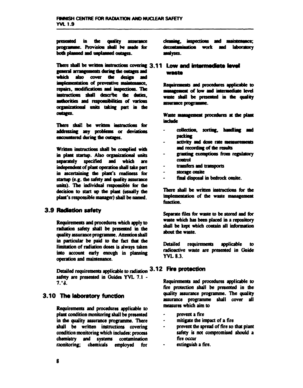**presetted in tbe quality assurance mogiasnme. Provisioa shall be made for both plmnrri and unplanned outages.** 

There shall be written instructions covering 3.11 Low and intermacilate level general arrangements during the outages and **which also cover the design and innjwenientation of preventive maintenance,**  repairs, modifications and inspections. The **instructions shall descrbe the dories,**  authorities and responsibilities of various **organizational anils taking part in die outages.** 

**There shall be written instructions for addressing any problems or deviations encountered during die outages.** 

**Written instructions shall be complied widi hi plant startup. Also organizational units separately specified and which are independent of plant operation shall take part in ascertaining die plant's readiness for startup (e.g. die safety and quality assurance**  units). The individual responsible for the **decision to start up die plant (usually die plant's responsible manager) shall be named.** 

# **3.9 Radiation safety**

**Requirements and procedures which apply to radiation safety shall be presented in die quality assurance programme. Attention shall in particular be paid to die fact that die limitation of radiation doses is always taken Into account early enough in planning operation and maintenance.** 

Detailed requirements applicable to radiation 3.12 Fire protection safety are presented in Guides YVL 7.1 -**7/3.** 

# **3.10 Tha laboratory function**

**Requirements and procedures applicable to plant condition monitoring shall be presented in die quality assurance programme. There shall be written instructions covering condition monitoring which includes: process chemistry and systems contamination monitoring; chemicals employed for**  cleaning, inspections and maintenance; decontamination work and laboratory **analyses.** 

# **wasta**

**Requirements and procedures applicable to management** of low and intermediate level **waste shall be pmented in die quality assurance progiaMmc.** 

Waste management procedures at the plant **include** 

- **collection, sorting, handling and oackinc**
- **activity and dose rate measurements and recording of the results**
- **granting exemptions from regulatory control**
- **transfers and transports**
- $\ddot{\phantom{1}}$ storage onsite
- **final disposal in bedrock onsite.**

**There shall be written instructions for die implementation of die waste management function.** 

**Separate files for waste to be stored and for waste which has been placed in a repository shall be kept which contain all information about die waste.** 

**Detailed requirements applicable to radioactive waste are presented in Guide YVL 8.3.** 

**Requirements and procedures applicable to fire protection shall be presented in die quality assurance programme. The quality assurance programme shall cover all measures which aim to** 

- **prevent a fire**   $\bullet$
- **mitigate die impact of a fire**
- **prevent the spread of fire so that plant safety is not compromised should a fire occur**
- **extinguish a fire.**   $\ddot{\phantom{a}}$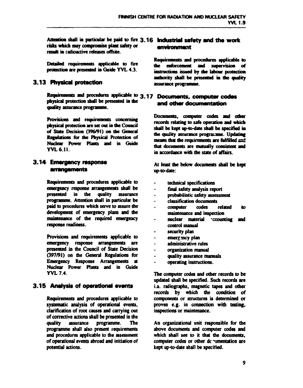**Attention shall in particular be paid to fire 3.16 Industrial safety and the work risks which may compromise plant safety or result in radioactive releases offsite.** 

**Detailed requirements applicable to fire protection are presented in Guide YVL 4.3.** 

# **3.13 Physical protection**

**Requirements and procedures applicable to 3.17 Documents» computet' codes physical protection shall be presented in die quality assurance programme.** 

**Provisions and requirements concerning physical protection are set out in die Council of State Decision (396/91) on die General Regulations for die Physical Protection of Nuclear Power Plants and in Guide YVL 6.11.** 

## **3.14 Emergency response**  arrangements

**Requirements and procedures applicable to emergency response arrangements shall be presented in die quality assurance programme. Attention shall in particular be paid to procedures which serve to assure die development of emergency plans and the maintenance of the required emergency response readiness.** 

**Provisions and requirements applicable to emergency response arrangements are presented in the Council of State Decision (397/91) on die General Regulations for Emergency Response Arrangements at Nuclear Power Plants and in Guide YVL 7.4.** 

# **3.15 Analysis of operational events**

**Requirements and procedures applicable to systematic analysis of operational events, clarification of root causes and carrying out of corrective actions shall be presented in the quality assurance programme. The programme shall also present requirements and procedures applicable to die assessment of operational events abroad and initiation of potential actions.** 

# environment

**Requirements and procedures applicable to instructions issued by ute labour protection authoiity shall be presented in die quality**  assurance programme.

# **and other documentation**

**Documents, computer codes and other records relating to safe operation and which shall be kept up-to-date shall be specified in die quality assurance programme. Updating means dot die requirements are fulfilled sad mat documents are mutually consistent and in accordance with die state of affairs.** 

**At least die below documents shall be kept up-to-date:** 

- **technical specifications**
- **final safety analysis report**
- **probabilistic safety assessment**
- **classification documents**
- **computer codes related to maintenance and inspection**
- nuclear material cocounting and **control manual**
- **security plan**
- emergency plan
- **administrative rules**
- **organization manual**
- **quality assurance manuals**
- **operating instructions.**

**The computer codes and odier records to be updated shall be specified. Such records are i.a. radiographs, magnetic tapes and other records by which die condition of components or structures is determined or proven e.g. in connection with testing, inspections or maintenance.** 

**An organizational unit responsible for die above documents and computer codes and**  which shall see to it that the documents. **computer codes or other dc ^mentation are kept up-to-date shall be specified.**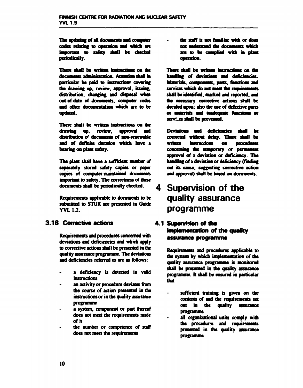The updating of all documents and computer important to safety shall be checked **periodically.**  codes relating to operation and which are

There shall be written instructions on the **particular be paid to the drawing up, review, approval,**  distribution, changing and disposal when **oat-of-date of and other documentatioa which are to be updated.** 

There shall be written instructions on the drawing up, review, approval and distribution of documents of non-renewable **and of definite duration which have a**  bearing on plant safety.

**The plant shall have a sufficient number of separately stored safety copies or paper**  copies of computer-maintained documents **important to safety. The correctness of dase**  documents shall be periodically checked.

**Requirements applicable to documents to be submitted to STUK are presented in Guide YVLI.2.** 

# **3.18 Corrective actions**

**Requirements and procedures concerned win deviations and deficiencies and which apply to corrective actions shall be presented in die quality assurance programme. The deviations and deficiencies referred to are as follows:** 

- **a deficiency is detected in valid instructions**
- **an activity or procedure deviates from the course of action presented in the instructions or in die quality assurance programme**
- **a system, component or part thereof does not meet the requirements made of it**
- **the number or competence of staff does not meet the requirements**

the staff is not familiar with or not understand the documents which are to be complied with in plant operation.

**There shall be written infractions oa the**  handling of deviations and deficiencies. Materials, components, parts, functions and services which do not meet the requirements shall be identified, marked and reported, and **ote nwcsmy corrective actions shall be decided upon; also the use of defective pans or materials and ondeqaate functions or [servi.es](http://servi.es) shall be prevented.** 

Deviations and deficiencies shall be corrected without delay. There shall be written instructions on procedures concerning the temporary or permanent **approval of a deviation or deficiency. The handling of a deviation or deficiency (finding out its came, suggesting corrective action**  and approval) shall be based on documents.

# **Supervision of the quality assurance programme**

# **4.1 Supervision of tho implementation of the quality** assurance programme

**Requirements and procedures applicable to die system by which implementation of die quality assurance programme is shall be presented in die quality programme, h shall be ensured in particular that** 

- **sufficient training is given on die contents of and die requirements set out in die quality assurance programme**
- **all organizational units comply witfi die procedures and requirements presented in die quality assurance programme**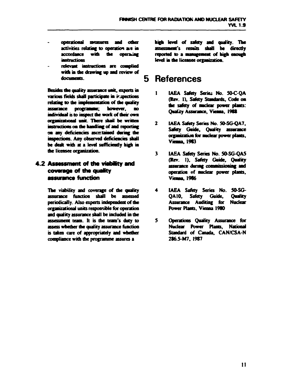- operational measures and other activities relating to operation are in **accordance with the**  *instructions*
- relevant instructions are complied **with in the drawing up and review of**  documents.

**Besides the quality assurance unit, experts in various fields shall participate hi inspections**  relating to the implementation of the quality **assurance programme; however, no individual is to mspect die work of dwir own**  organizational unit. There shail be written instructions on the handling of and reporting on any deficiencies ascertained during the inspections. Any observed deficiencies shall **be dealt with at a level sufficiently high in die licensee organization.** 

# **4.2 Assessment of the viability and coverage of tht quafity assurance function**

**The viability and coverage of the quality assurance function shall be assessed periodically. Also experts independent of die organizational units responsible for operation and quality assurance shall be included in die assessment team. It is die team's duty to assess whether die quality assurance function is taken care of appropriately and whether compliance with die programme assures a** 

**level of safety and quality. The fs shall be directly to a management of high** level in the licensee organization.

# **5 References**

- $\mathbf{I}$ IAEA Safety Series No. 50-C-OA **(Rev. 1), Safety Standards, Code on**  the safety of nuclear power plants: **Quality Assurance, Vienna, 1988**
- $\mathbf{2}$ **IAEA Safety Series No. 50-SG-QA7, Safety Guide, Quality**  organization for nuclear power plants, **Vienna, 1983**
- $\overline{\mathbf{3}}$ **IAEA Safety Series No. SO-SG-QAS (Rev. 1), Safety Guide, Quality**  assurance during commissioning and **operation of nuclear power plants, 1986**
- **IAEA Safety Series No. 50-SG-**4 **QA10, Safety Guide, Quality Assurance Auditing for Nuclear Power Plans. Vienna 1980**
- **Operations Quality Assurance for**  5. **Nuclear Power Plants, National Standard of Canada, CAN/CSA-N 286.5-M7, 1987**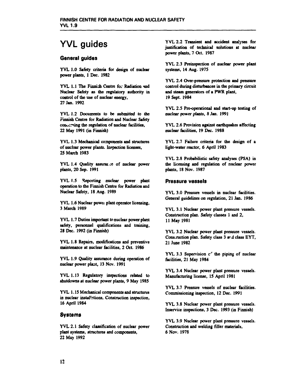# **YVL guides**

#### **General guides**

**YVL 1.0 Safety criteria for design of nuclear power plants, 1 Dec. 1982** 

YVL 1.1 The Finnish Centre for Radiation and **Nuclear Safety as the regulatory authority in control of the use of nuclear energy, 27 Jan. 1992** 

**YVL 1.2 Documents to be submitted to the Finnish Centre for Radiation and Nuclear Safety convening the regulation of nuclear facilities, 22 May 1991 (in Finnish)** 

**YVL 1.3 Mechanical components and structures of nuclear power plants. Inspection licenses, 25 March 1983** 

**YVL 1.4 Quality assurer .:e of nuclear power plants, 20 Sep. 1991** 

**YVL 1.5 Reporting nuclear power plant operation to the Finnish Centre for Radiation and Nuclear Safety, 18 Aug. 1989** 

**YVL 1.6 Nuclear powei plant operator licensing, 3 March 1989** 

**YVL 1.7 Duties important to nuclear power plant safety, personnel qualifications and training, 28 Dec. 1992 (in Finnish)** 

**YVL 1.8 Repairs, modifications and preventive maintenance at nuclear facilities, 2 Oct. 1986** 

**YVL 1.9 Quality assurance during operation of**  nuclear power plant, 13 Nov. 1991

**YVL 1.13 Regulatory inspections related to shutdowns at nuclear power plants, 9 May 1985** 

**YVL 1.15 Mechanical components and structures in nuclear installations, Construction inspection, 16 April 1984** 

#### **Systems**

**YVL 2.1 Safety classification of nuclear power plant systems, structures and components, 22 May 1992** 

**YVL 2.2 Transient and accident analyses for justification of technical solutions at nuclear power plants, 7 Oct. 1987** 

**YVL 2.3 Preinspection of nuclear power plant systems, 14 Aug. 1975** 

**YVL 2.4 Over-pressure protection and pressure control during disturbances in the primary circuit and steam generators of a PWR plant, 19 Sept. 1984** 

**YVL 2.5 Preoperational and start-up testing of nuclear power plants, 8 Jan. 1991** 

**YVL 2.6 Provision against earthquakes affecting nuclear facilities, 19 Dec. 1988** 

**YVL 2.7 Failure criteria for the design of a light-water reactor, 6 April 1983** 

**YVL 2.8 Probabilistic safety analyses (PSA) in the licensing and regulation of nuclear power plants, 18 Nov. 1987** 

#### **Pressure vessels**

**YVL 3.0 Pressure vessels in nuclear facilities. General guidelines on regulation, 21 Jan. 1986** 

**YVL 3.1 Nuclear power plant pressure vessels. Construction plan. Safety classes 1 and 2, 11 May 1981** 

**YVL 3.2 Nuclear power plant pressure vessels.**  Construction plan. Safety class 3 ard class EYT, **21 June 1982** 

**YVL 3.3 Supervision** *c<sup>r</sup>*  **the piping of nuclear facilities, 21 May 1984** 

**YVL 3.4 Nuclear power plant pressure vessels. Manufacturing license, 15 April 1981** 

**YVL 3.7 Pressure vessels of nuclear facilities. Commissioning inspection, 12 Dec. 1991** 

**YVL 3.8 Nuclear power plant pressure vessels, lnservice inspections, 3 Dec. 1993 (in Finnish)** 

**YVL 3.9 Nuclear power plant pressure vessels. Construction and welding filler materials, 6 Nov. 1978**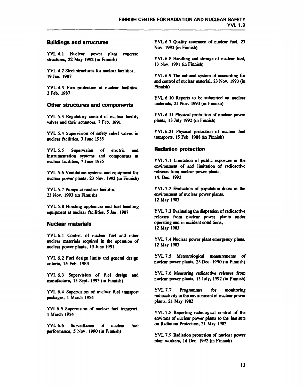#### **Buildings and structures**

**YVL 4.1 Nuclear power plant concrete structures, 22 May 1992 (in Finnish)** 

**YVL 4.2 Steel structures for nuclear facilities, 19 Jan. 1987** 

**YVL 4.3 Fire protection at nuclear facilities, 2 Feb. 1987** 

#### **Other structures and components**

**YVL S.3 Regulatory control of nuclear facility valves and their actuators, 7 Feb. 1991** 

**YVL S.4 Supervision of safety relief valves in nuclear facilities, 3 June 1985** 

**YVL 5.5 Supervision of electric and instrumentation systems and components at nuclear facilities, 7 June 1985** 

**YVL 5.6 Ventilation systems and equipment for nuclear power plants, 23 Nov. 1993 (in Finnish)** 

**YVL 5.7 Pumps at nuclear facilities, 23 Nov. 1993 (in Finnish)** 

**YVL 5.8 Hoisting appliances and fuel handling equipment at nuclear facilities, 5 Jan. 1987** 

#### **Nuclear materials**

YVL 6.1 Control of nuclear fuel and other **nuclear materials required in the operation of nuclear power plants, 19 June 1991** 

**YVL 6.2 Fuel design limits and general design criteria, 15 Feb. 1983** 

**YVL 6.3 Supervision of fuel design and manufacture, 15 Sept. 1993 (in Finnish)** 

**YVL 6.4 Supervision of nuclear fuel transport packages, 1 March 1984** 

**YVI 6.5 Supervision of nuclear fuel transport, 1 March 1984** 

**YVL 6.6 Surveillance of nuclear fuel performance, 5 Nov. 1990 (in Finnish)** 

**YVL 6.7 Quality assurance of nuclear fuel, 23 Nov. 1993 (in Finnish)** 

**YVL 6.8 Handling and storage of nuclear fuel, 13 Nov. 1991 (in Finnish)** 

**YVL 6.9 The national system of accounting for and control of nuclear material, 23 Nov. 1993 (in Finnish)** 

**YVL 6.10 Reports to be submitted on nuclear materials, 23 Nov. 1993 (in Finnish)** 

**YVL 6.11 Physical protection of nuclear power plants, 13 July 1992 (in Finnish)** 

**YVL 6.21 Physical protection of nuclear fuel transports, 15 Feb. 1988 (in Finnish)** 

#### **Radiation protection**

**YVL 7.1 Limitation of public exposure in the environment of and limitation of radioactive releases from nuclear power plants, 14. Dec. 1992** 

**YVL 7.2 Evaluation of population doses in the environment of nuclear power plants, 12 May 1983** 

**YVL 7.3 Evaluating the dispersion of radioactive releases from nuclear power plants under operating and in accident conditions, 12 May 1983** 

**YVL 7.4 Nuclear power plant emergency plans, 12 May 1983** 

**YVL 7.5 Meteorological measurements of nuclear power plants, 28 Dec. 1990 (in Finnish)** 

**YVL 7.6 Measuring radioactive releases from nuclear power plants, 13 July, 1992 (in Finnish)** 

**YVL 7.7 Programmes for monitoring radioactivity in the environment of nuclear power plants, 21 May 1982** 

**YVL 7.8 Reporting radiological control of the environs of nuclear power plants to the Institute on Radiation Protection, 21 May 1982** 

**YVL 7.9 Radiation protection of nuclear power plant workers, 14 Dec. 1992 (in Finnish)**